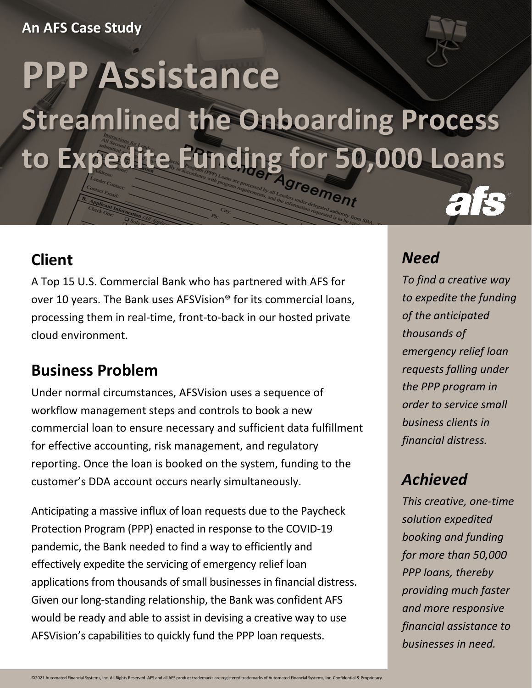#### **An AFS Case Study**

# **PPP Assistance Streamlined the Onboarding Process to Expedite Funding for 50,000 Loans**

## **Client**

A Top 15 U.S. Commercial Bank who has partnered with AFS for over 10 years. The Bank uses AFSVision® for its commercial loans, processing them in real-time, front-to-back in our hosted private cloud environment.

# **Business Problem**

Under normal circumstances, AFSVision uses a sequence of workflow management steps and controls to book a new commercial loan to ensure necessary and sufficient data fulfillment for effective accounting, risk management, and regulatory reporting. Once the loan is booked on the system, funding to the customer's DDA account occurs nearly simultaneously.

Anticipating a massive influx of loan requests due to the Paycheck Protection Program (PPP) enacted in response to the COVID-19 pandemic, the Bank needed to find a way to efficiently and effectively expedite the servicing of emergency relief loan applications from thousands of small businesses in financial distress. Given our long-standing relationship, the Bank was confident AFS would be ready and able to assist in devising a creative way to use AFSVision's capabilities to quickly fund the PPP loan requests.

### *Need*

*To find a creative way to expedite the funding of the anticipated thousands of emergency relief loan requests falling under the PPP program in order to service small business clients in financial distress.*

# *Achieved*

*This creative, one-time solution expedited booking and funding for more than 50,000 PPP loans, thereby providing much faster and more responsive financial assistance to businesses in need.*

©2021 Automated Financial Systems, Inc. All Rights Reserved. AFS and all AFS product trademarks are registered trademarks of Automated Financial Systems, Inc. Confidential & Proprietary.